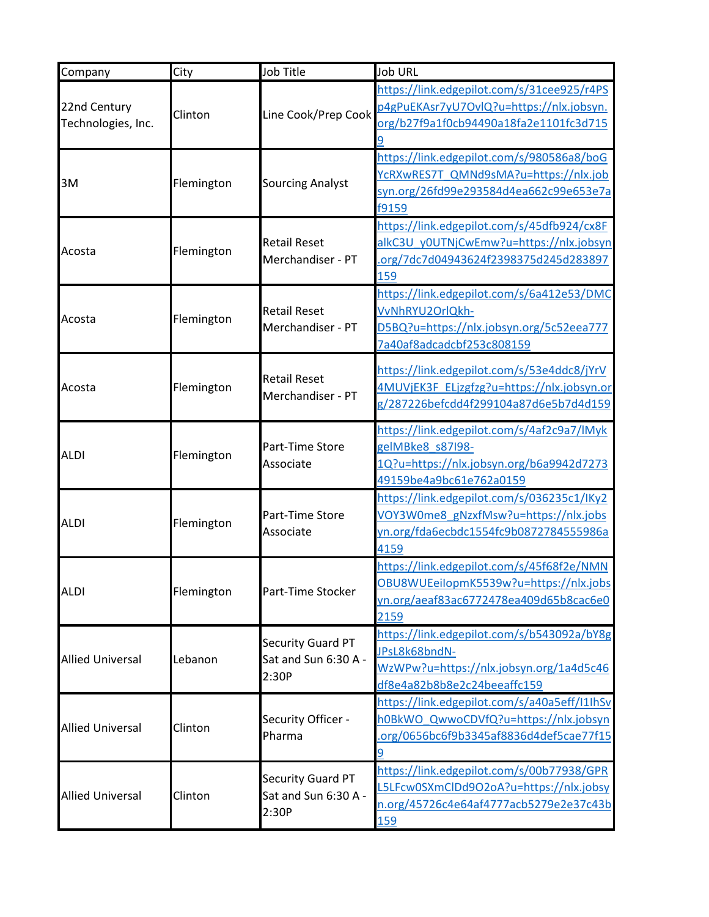| Company                 | City       | Job Title                                | <b>Job URL</b>                               |
|-------------------------|------------|------------------------------------------|----------------------------------------------|
|                         |            |                                          | https://link.edgepilot.com/s/31cee925/r4PS   |
| 22nd Century            | Clinton    | Line Cook/Prep Cook                      | p4gPuEKAsr7yU7OvlQ?u=https://nlx.jobsyn.     |
| Technologies, Inc.      |            |                                          | org/b27f9a1f0cb94490a18fa2e1101fc3d715       |
|                         |            |                                          |                                              |
|                         |            |                                          | https://link.edgepilot.com/s/980586a8/boG    |
|                         |            |                                          | YcRXwRES7T QMNd9sMA?u=https://nlx.job        |
| 3M                      | Flemington | <b>Sourcing Analyst</b>                  | syn.org/26fd99e293584d4ea662c99e653e7a       |
|                         |            |                                          | f9159                                        |
|                         |            |                                          | https://link.edgepilot.com/s/45dfb924/cx8F   |
| Acosta                  | Flemington | <b>Retail Reset</b>                      | alkC3U y0UTNjCwEmw?u=https://nlx.jobsyn      |
|                         |            | Merchandiser - PT                        | .org/7dc7d04943624f2398375d245d283897        |
|                         |            |                                          | 159                                          |
|                         |            |                                          | https://link.edgepilot.com/s/6a412e53/DMC    |
| Acosta                  | Flemington | <b>Retail Reset</b>                      | VvNhRYU2OrlQkh-                              |
|                         |            | Merchandiser - PT                        | D5BQ?u=https://nlx.jobsyn.org/5c52eea777     |
|                         |            |                                          | 7a40af8adcadcbf253c808159                    |
|                         |            |                                          | https://link.edgepilot.com/s/53e4ddc8/jYrV   |
| Acosta                  | Flemington | <b>Retail Reset</b><br>Merchandiser - PT | 4MUVjEK3F ELjzgfzg?u=https://nlx.jobsyn.or   |
|                         |            |                                          | g/287226befcdd4f299104a87d6e5b7d4d159        |
|                         |            |                                          |                                              |
|                         | Flemington | Part-Time Store<br>Associate             | https://link.edgepilot.com/s/4af2c9a7/lMyk   |
| <b>ALDI</b>             |            |                                          | gelMBke8 s87198-                             |
|                         |            |                                          | 1Q?u=https://nlx.jobsyn.org/b6a9942d7273     |
|                         |            |                                          | 49159be4a9bc61e762a0159                      |
|                         | Flemington | Part-Time Store<br>Associate             | https://link.edgepilot.com/s/036235c1/IKy2   |
| <b>ALDI</b>             |            |                                          | VOY3W0me8_gNzxfMsw?u=https://nlx.jobs        |
|                         |            |                                          | yn.org/fda6ecbdc1554fc9b0872784555986a       |
|                         |            |                                          | 4159                                         |
|                         | Flemington |                                          | https://link.edgepilot.com/s/45f68f2e/NMN    |
| <b>ALDI</b>             |            | Part-Time Stocker                        | OBU8WUEeilopmK5539w?u=https://nlx.jobs       |
|                         |            |                                          | yn.org/aeaf83ac6772478ea409d65b8cac6e0       |
|                         |            |                                          | 2159                                         |
|                         |            | Security Guard PT                        | https://link.edgepilot.com/s/b543092a/bY8g   |
| <b>Allied Universal</b> | Lebanon    | Sat and Sun 6:30 A -                     | JPsL8k68bndN-                                |
|                         |            | 2:30P                                    | WzWPw?u=https://nlx.jobsyn.org/1a4d5c46      |
|                         |            |                                          | df8e4a82b8b8e2c24beeaffc159                  |
| <b>Allied Universal</b> |            |                                          | https://link.edgepilot.com/s/a40a5eff/I1IhSv |
|                         | Clinton    | Security Officer -                       | h0BkWO QwwoCDVfQ?u=https://nlx.jobsyn        |
|                         |            | Pharma                                   | .org/0656bc6f9b3345af8836d4def5cae77f15      |
|                         |            |                                          | 9                                            |
| <b>Allied Universal</b> |            | Security Guard PT                        | https://link.edgepilot.com/s/00b77938/GPR    |
|                         | Clinton    | Sat and Sun 6:30 A -                     | L5LFcw0SXmClDd9O2oA?u=https://nlx.jobsy      |
|                         |            | 2:30P                                    | n.org/45726c4e64af4777acb5279e2e37c43b       |
|                         |            |                                          | 159                                          |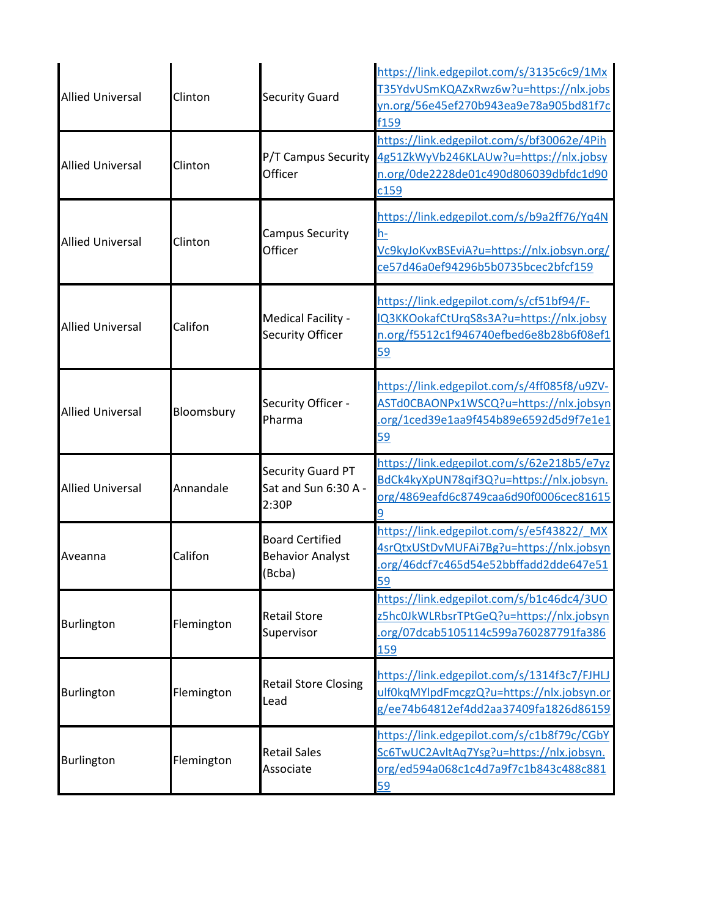| <b>Allied Universal</b> | Clinton    | <b>Security Guard</b>                                       | https://link.edgepilot.com/s/3135c6c9/1Mx<br>T35YdvUSmKQAZxRwz6w?u=https://nlx.jobs<br>yn.org/56e45ef270b943ea9e78a905bd81f7c<br>f159        |
|-------------------------|------------|-------------------------------------------------------------|----------------------------------------------------------------------------------------------------------------------------------------------|
| <b>Allied Universal</b> | Clinton    | P/T Campus Security<br>Officer                              | https://link.edgepilot.com/s/bf30062e/4Pih<br>4g51ZkWyVb246KLAUw?u=https://nlx.jobsy<br>n.org/0de2228de01c490d806039dbfdc1d90<br>c159        |
| <b>Allied Universal</b> | Clinton    | <b>Campus Security</b><br>Officer                           | https://link.edgepilot.com/s/b9a2ff76/Yq4N<br>h-<br>Vc9kyJoKvxBSEviA?u=https://nlx.jobsyn.org/<br>ce57d46a0ef94296b5b0735bcec2bfcf159        |
| <b>Allied Universal</b> | Califon    | Medical Facility -<br>Security Officer                      | https://link.edgepilot.com/s/cf51bf94/F-<br>IQ3KKOokafCtUrqS8s3A?u=https://nlx.jobsy<br>n.org/f5512c1f946740efbed6e8b28b6f08ef1<br>59        |
| <b>Allied Universal</b> | Bloomsbury | Security Officer -<br>Pharma                                | https://link.edgepilot.com/s/4ff085f8/u9ZV-<br>ASTd0CBAONPx1WSCQ?u=https://nlx.jobsyn<br>.org/1ced39e1aa9f454b89e6592d5d9f7e1e1<br>59        |
| <b>Allied Universal</b> | Annandale  | Security Guard PT<br>Sat and Sun 6:30 A -<br>2:30P          | https://link.edgepilot.com/s/62e218b5/e7yz<br>BdCk4kyXpUN78qif3Q?u=https://nlx.jobsyn.<br>org/4869eafd6c8749caa6d90f0006cec81615<br>q        |
| Aveanna                 | Califon    | <b>Board Certified</b><br><b>Behavior Analyst</b><br>(Bcba) | https://link.edgepilot.com/s/e5f43822/ MX<br>4srQtxUStDvMUFAi7Bg?u=https://nlx.jobsyn<br>.org/46dcf7c465d54e52bbffadd2dde647e51<br>59        |
| Burlington              | Flemington | <b>Retail Store</b><br>Supervisor                           | https://link.edgepilot.com/s/b1c46dc4/3UO<br>z5hc0JkWLRbsrTPtGeQ?u=https://nlx.jobsyn<br>.org/07dcab5105114c599a760287791fa386<br><u>159</u> |
| Burlington              | Flemington | <b>Retail Store Closing</b><br>Lead                         | https://link.edgepilot.com/s/1314f3c7/FJHLJ<br>ulf0kqMYlpdFmcgzQ?u=https://nlx.jobsyn.or<br>g/ee74b64812ef4dd2aa37409fa1826d86159            |
| Burlington              | Flemington | <b>Retail Sales</b><br>Associate                            | https://link.edgepilot.com/s/c1b8f79c/CGbY<br>Sc6TwUC2AvltAq7Ysg?u=https://nlx.jobsyn.<br>org/ed594a068c1c4d7a9f7c1b843c488c881<br>59        |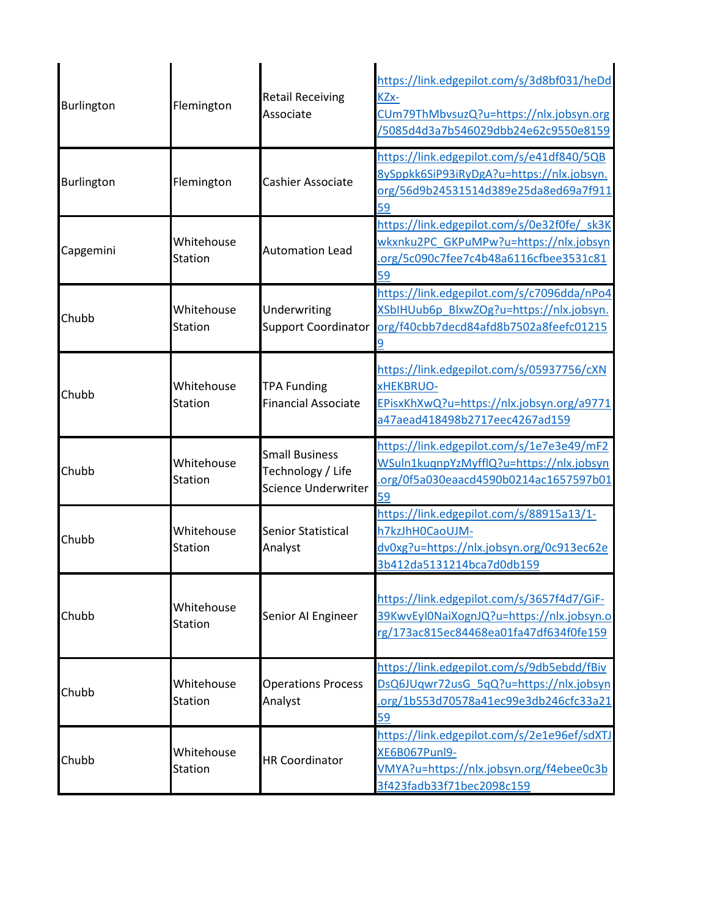| Burlington | Flemington                   | <b>Retail Receiving</b><br>Associate                              | https://link.edgepilot.com/s/3d8bf031/heDd<br>KZx-<br>CUm79ThMbvsuzQ?u=https://nlx.jobsyn.org<br>/5085d4d3a7b546029dbb24e62c9550e8159 |
|------------|------------------------------|-------------------------------------------------------------------|---------------------------------------------------------------------------------------------------------------------------------------|
| Burlington | Flemington                   | Cashier Associate                                                 | https://link.edgepilot.com/s/e41df840/5QB<br>8ySppkk6SiP93iRyDgA?u=https://nlx.jobsyn.<br>org/56d9b24531514d389e25da8ed69a7f911<br>59 |
| Capgemini  | Whitehouse<br>Station        | <b>Automation Lead</b>                                            | https://link.edgepilot.com/s/0e32f0fe/ sk3K<br>wkxnku2PC GKPuMPw?u=https://nlx.jobsyn<br>org/5c090c7fee7c4b48a6116cfbee3531c81<br>59  |
| Chubb      | Whitehouse<br><b>Station</b> | Underwriting<br><b>Support Coordinator</b>                        | https://link.edgepilot.com/s/c7096dda/nPo4<br>XSbIHUub6p BlxwZOg?u=https://nlx.jobsyn.<br>org/f40cbb7decd84afd8b7502a8feefc01215      |
| Chubb      | Whitehouse<br><b>Station</b> | <b>TPA Funding</b><br><b>Financial Associate</b>                  | https://link.edgepilot.com/s/05937756/cXN<br>xHEKBRUO-<br>EPisxKhXwQ?u=https://nlx.jobsyn.org/a9771<br>a47aead418498b2717eec4267ad159 |
| Chubb      | Whitehouse<br><b>Station</b> | <b>Small Business</b><br>Technology / Life<br>Science Underwriter | https://link.edgepilot.com/s/1e7e3e49/mF2<br>WSuln1kuqnpYzMyfflQ?u=https://nlx.jobsyn<br>.org/0f5a030eaacd4590b0214ac1657597b01<br>59 |
| Chubb      | Whitehouse<br><b>Station</b> | Senior Statistical<br>Analyst                                     | https://link.edgepilot.com/s/88915a13/1-<br>h7kzJhH0CaoUJM-<br>dv0xg?u=https://nlx.jobsyn.org/0c913ec62e<br>3b412da5131214bca7d0db159 |
| Chubb      | Whitehouse<br>Station        | Senior AI Engineer                                                | https://link.edgepilot.com/s/3657f4d7/GiF-<br>39KwvEyl0NaiXognJQ?u=https://nlx.jobsyn.o<br>rg/173ac815ec84468ea01fa47df634f0fe159     |
| Chubb      | Whitehouse<br>Station        | <b>Operations Process</b><br>Analyst                              | https://link.edgepilot.com/s/9db5ebdd/fBiv<br>DsQ6JUqwr72usG 5qQ?u=https://nlx.jobsyn<br>.org/1b553d70578a41ec99e3db246cfc33a21<br>59 |
| Chubb      | Whitehouse<br>Station        | <b>HR Coordinator</b>                                             | https://link.edgepilot.com/s/2e1e96ef/sdXTJ<br>XE6B067Punl9-<br>VMYA?u=https://nlx.jobsyn.org/f4ebee0c3b<br>3f423fadb33f71bec2098c159 |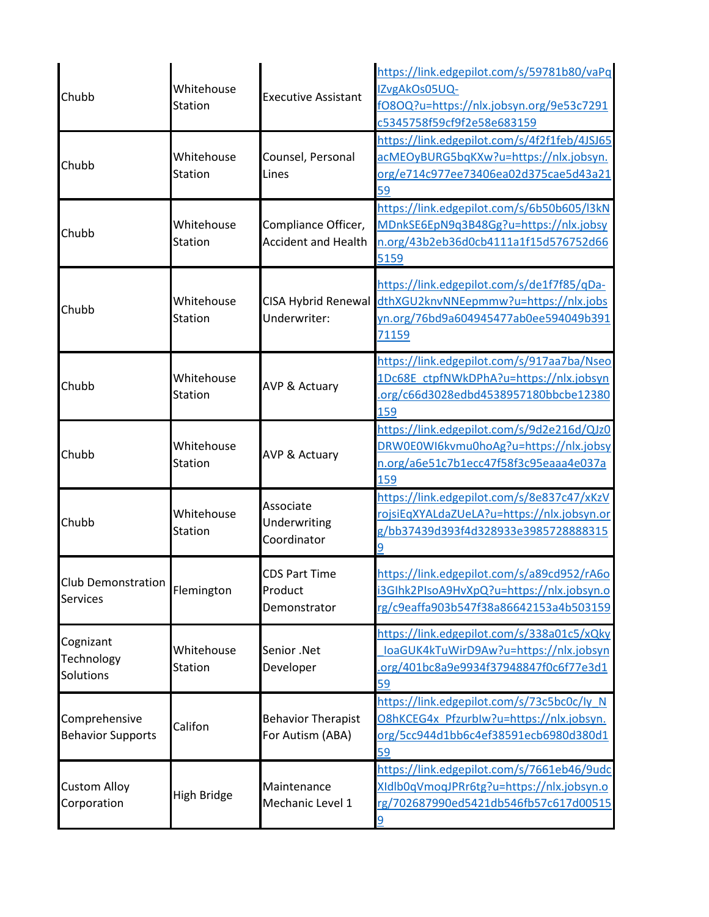| Chubb                                        | Whitehouse<br><b>Station</b> | <b>Executive Assistant</b>                        | https://link.edgepilot.com/s/59781b80/vaPq<br>IZvgAkOs05UQ-<br>fO8OQ?u=https://nlx.jobsyn.org/9e53c7291<br>c5345758f59cf9f2e58e683159 |
|----------------------------------------------|------------------------------|---------------------------------------------------|---------------------------------------------------------------------------------------------------------------------------------------|
| Chubb                                        | Whitehouse<br><b>Station</b> | Counsel, Personal<br>Lines                        | https://link.edgepilot.com/s/4f2f1feb/4JSJ65<br>acMEOyBURG5bqKXw?u=https://nlx.jobsyn.<br>org/e714c977ee73406ea02d375cae5d43a21<br>59 |
| Chubb                                        | Whitehouse<br>Station        | Compliance Officer,<br><b>Accident and Health</b> | https://link.edgepilot.com/s/6b50b605/l3kN<br>MDnkSE6EpN9q3B48Gg?u=https://nlx.jobsy<br>n.org/43b2eb36d0cb4111a1f15d576752d66<br>5159 |
| Chubb                                        | Whitehouse<br><b>Station</b> | <b>CISA Hybrid Renewal</b><br>Underwriter:        | https://link.edgepilot.com/s/de1f7f85/qDa-<br>dthXGU2knvNNEepmmw?u=https://nlx.jobs<br>yn.org/76bd9a604945477ab0ee594049b391<br>71159 |
| Chubb                                        | Whitehouse<br><b>Station</b> | <b>AVP &amp; Actuary</b>                          | https://link.edgepilot.com/s/917aa7ba/Nseo<br>1Dc68E ctpfNWkDPhA?u=https://nlx.jobsyn<br>.org/c66d3028edbd4538957180bbcbe12380<br>159 |
| Chubb                                        | Whitehouse<br><b>Station</b> | <b>AVP &amp; Actuary</b>                          | https://link.edgepilot.com/s/9d2e216d/QJz0<br>DRW0E0WI6kvmu0hoAg?u=https://nlx.jobsy<br>n.org/a6e51c7b1ecc47f58f3c95eaaa4e037a<br>159 |
| Chubb                                        | Whitehouse<br><b>Station</b> | Associate<br>Underwriting<br>Coordinator          | https://link.edgepilot.com/s/8e837c47/xKzV<br>rojsiEqXYALdaZUeLA?u=https://nlx.jobsyn.or<br>g/bb37439d393f4d328933e3985728888315<br>9 |
| <b>Club Demonstration</b><br><b>Services</b> | Flemington                   | <b>CDS Part Time</b><br>Product<br>Demonstrator   | https://link.edgepilot.com/s/a89cd952/rA6o<br>i3GIhk2PIsoA9HvXpQ?u=https://nlx.jobsyn.o<br>rg/c9eaffa903b547f38a86642153a4b503159     |
| Cognizant<br>Technology<br>Solutions         | Whitehouse<br><b>Station</b> | Senior .Net<br>Developer                          | https://link.edgepilot.com/s/338a01c5/xQky<br>loaGUK4kTuWirD9Aw?u=https://nlx.jobsyn<br>org/401bc8a9e9934f37948847f0c6f77e3d1<br>59   |
| Comprehensive<br><b>Behavior Supports</b>    | Califon                      | <b>Behavior Therapist</b><br>For Autism (ABA)     | https://link.edgepilot.com/s/73c5bc0c/ly_N<br>O8hKCEG4x Pfzurblw?u=https://nlx.jobsyn.<br>org/5cc944d1bb6c4ef38591ecb6980d380d1<br>59 |
| <b>Custom Alloy</b><br>Corporation           | High Bridge                  | Maintenance<br>Mechanic Level 1                   | https://link.edgepilot.com/s/7661eb46/9udc<br>XIdlb0qVmoqJPRr6tg?u=https://nlx.jobsyn.o<br>rg/702687990ed5421db546fb57c617d00515<br>9 |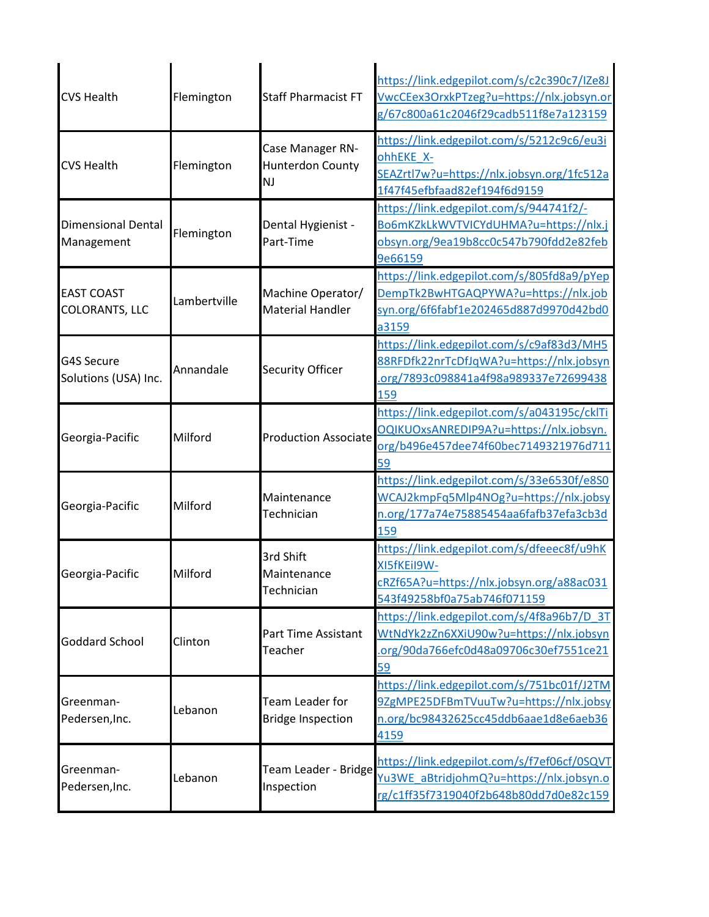| <b>CVS Health</b>                          | Flemington   | <b>Staff Pharmacist FT</b>                        | https://link.edgepilot.com/s/c2c390c7/IZe8J<br>VwcCEex3OrxkPTzeg?u=https://nlx.jobsyn.or<br>g/67c800a61c2046f29cadb511f8e7a123159     |
|--------------------------------------------|--------------|---------------------------------------------------|---------------------------------------------------------------------------------------------------------------------------------------|
| <b>CVS Health</b>                          | Flemington   | Case Manager RN-<br>Hunterdon County<br><b>NJ</b> | https://link.edgepilot.com/s/5212c9c6/eu3i<br>ohhEKE_X-<br>SEAZrtl7w?u=https://nlx.jobsyn.org/1fc512a<br>1f47f45efbfaad82ef194f6d9159 |
| <b>Dimensional Dental</b><br>Management    | Flemington   | Dental Hygienist -<br>Part-Time                   | https://link.edgepilot.com/s/944741f2/-<br>Bo6mKZkLkWVTVICYdUHMA?u=https://nlx.j<br>obsyn.org/9ea19b8cc0c547b790fdd2e82feb<br>9e66159 |
| <b>EAST COAST</b><br><b>COLORANTS, LLC</b> | Lambertville | Machine Operator/<br><b>Material Handler</b>      | https://link.edgepilot.com/s/805fd8a9/pYep<br>DempTk2BwHTGAQPYWA?u=https://nlx.job<br>syn.org/6f6fabf1e202465d887d9970d42bd0<br>a3159 |
| <b>G4S Secure</b><br>Solutions (USA) Inc.  | Annandale    | Security Officer                                  | https://link.edgepilot.com/s/c9af83d3/MH5<br>88RFDfk22nrTcDfJqWA?u=https://nlx.jobsyn<br>org/7893c098841a4f98a989337e72699438<br>159  |
| Georgia-Pacific                            | Milford      | <b>Production Associate</b>                       | https://link.edgepilot.com/s/a043195c/cklTi<br>OQIKUOxsANREDIP9A?u=https://nlx.jobsyn.<br>org/b496e457dee74f60bec7149321976d711<br>59 |
| Georgia-Pacific                            | Milford      | Maintenance<br>Technician                         | https://link.edgepilot.com/s/33e6530f/e8S0<br>WCAJ2kmpFq5Mlp4NOg?u=https://nlx.jobsy<br>n.org/177a74e75885454aa6fafb37efa3cb3d<br>159 |
| Georgia-Pacific                            | Milford      | 3rd Shift<br>Maintenance<br>Technician            | https://link.edgepilot.com/s/dfeeec8f/u9hK<br>XI5fKEil9W-<br>cRZf65A?u=https://nlx.jobsyn.org/a88ac031<br>543f49258bf0a75ab746f071159 |
| <b>Goddard School</b>                      | Clinton      | Part Time Assistant<br>Teacher                    | https://link.edgepilot.com/s/4f8a96b7/D 3T<br>WtNdYk2zZn6XXiU90w?u=https://nlx.jobsyn<br>.org/90da766efc0d48a09706c30ef7551ce21<br>59 |
| Greenman-<br>Pedersen, Inc.                | Lebanon      | Team Leader for<br><b>Bridge Inspection</b>       | https://link.edgepilot.com/s/751bc01f/J2TM<br>9ZgMPE25DFBmTVuuTw?u=https://nlx.jobsy<br>n.org/bc98432625cc45ddb6aae1d8e6aeb36<br>4159 |
| Greenman-<br>Pedersen, Inc.                | Lebanon      | Team Leader - Bridge<br>Inspection                | https://link.edgepilot.com/s/f7ef06cf/0SQVT<br>Yu3WE_aBtridjohmQ?u=https://nlx.jobsyn.o<br>rg/c1ff35f7319040f2b648b80dd7d0e82c159     |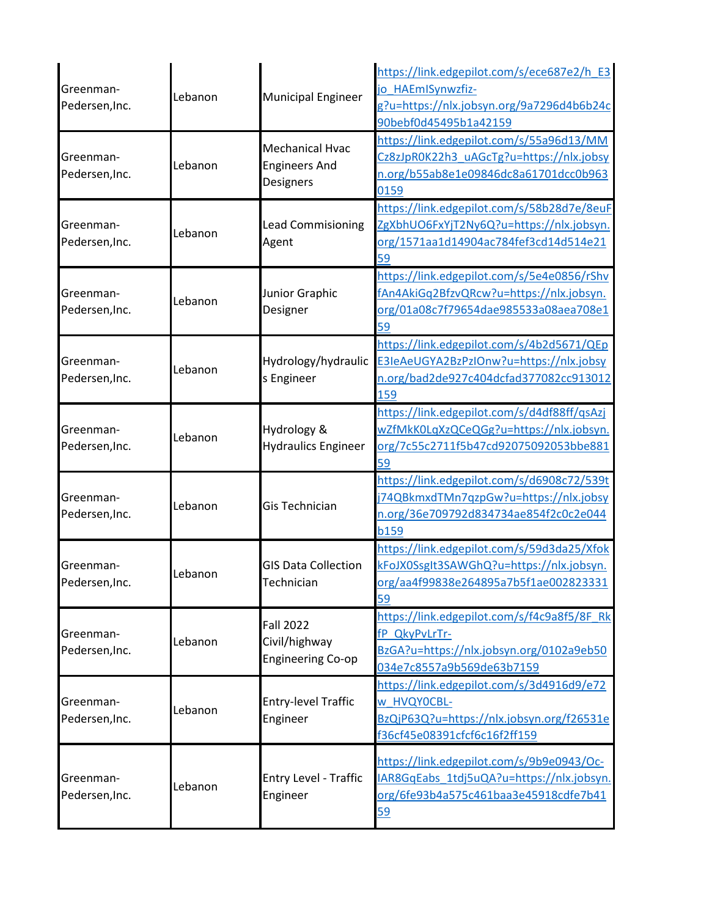|                             | Lebanon | <b>Municipal Engineer</b>                 | https://link.edgepilot.com/s/ece687e2/h E3  |
|-----------------------------|---------|-------------------------------------------|---------------------------------------------|
| Greenman-<br>Pedersen, Inc. |         |                                           | jo HAEmISynwzfiz-                           |
|                             |         |                                           | g?u=https://nlx.jobsyn.org/9a7296d4b6b24c   |
|                             |         |                                           | 90bebf0d45495b1a42159                       |
|                             |         | <b>Mechanical Hvac</b>                    | https://link.edgepilot.com/s/55a96d13/MM    |
| Greenman-                   | Lebanon | <b>Engineers And</b>                      | Cz8zJpR0K22h3_uAGcTg?u=https://nlx.jobsy    |
| Pedersen, Inc.              |         |                                           | n.org/b55ab8e1e09846dc8a61701dcc0b963       |
|                             |         | Designers                                 | 0159                                        |
|                             |         |                                           | https://link.edgepilot.com/s/58b28d7e/8euF  |
| Greenman-                   | Lebanon | <b>Lead Commisioning</b>                  | ZgXbhUO6FxYjT2Ny6Q?u=https://nlx.jobsyn.    |
| Pedersen, Inc.              |         | Agent                                     | org/1571aa1d14904ac784fef3cd14d514e21       |
|                             |         |                                           | 59                                          |
|                             |         |                                           | https://link.edgepilot.com/s/5e4e0856/rShv  |
| Greenman-                   | Lebanon | Junior Graphic                            | fAn4AkiGq2BfzvQRcw?u=https://nlx.jobsyn.    |
| Pedersen, Inc.              |         | Designer                                  | org/01a08c7f79654dae985533a08aea708e1       |
|                             |         |                                           | 59                                          |
|                             |         |                                           | https://link.edgepilot.com/s/4b2d5671/QEp   |
| Greenman-                   |         | Hydrology/hydraulic                       | E3IeAeUGYA2BzPzIOnw?u=https://nlx.jobsy     |
| Pedersen, Inc.              | Lebanon | s Engineer                                | n.org/bad2de927c404dcfad377082cc913012      |
|                             |         |                                           | 159                                         |
|                             | Lebanon | Hydrology &<br><b>Hydraulics Engineer</b> | https://link.edgepilot.com/s/d4df88ff/qsAzj |
| Greenman-                   |         |                                           | wZfMkK0LqXzQCeQGg?u=https://nlx.jobsyn.     |
| Pedersen, Inc.              |         |                                           | org/7c55c2711f5b47cd92075092053bbe881       |
|                             |         |                                           | 59                                          |
|                             | Lebanon | <b>Gis Technician</b>                     | https://link.edgepilot.com/s/d6908c72/539t  |
| Greenman-                   |         |                                           | j74QBkmxdTMn7qzpGw?u=https://nlx.jobsy      |
| Pedersen, Inc.              |         |                                           | n.org/36e709792d834734ae854f2c0c2e044       |
|                             |         |                                           | <b>b159</b>                                 |
|                             | Lebanon | <b>GIS Data Collection</b><br>Technician  | https://link.edgepilot.com/s/59d3da25/Xfok  |
| Greenman-                   |         |                                           | kFoJX0SsgIt3SAWGhQ?u=https://nlx.jobsyn.    |
| Pedersen, Inc.              |         |                                           | org/aa4f99838e264895a7b5f1ae002823331       |
|                             |         |                                           | 59                                          |
|                             | Lebanon | <b>Fall 2022</b>                          | https://link.edgepilot.com/s/f4c9a8f5/8F Rk |
| Greenman-                   |         | Civil/highway                             | fP_QkyPvLrTr-                               |
| Pedersen, Inc.              |         | <b>Engineering Co-op</b>                  | BzGA?u=https://nlx.jobsyn.org/0102a9eb50    |
|                             |         |                                           | 034e7c8557a9b569de63b7159                   |
|                             |         |                                           | https://link.edgepilot.com/s/3d4916d9/e72   |
| Greenman-<br>Pedersen, Inc. | Lebanon | <b>Entry-level Traffic</b>                | w_HVQY0CBL-                                 |
|                             |         | Engineer                                  | BzQjP63Q?u=https://nlx.jobsyn.org/f26531e   |
|                             |         |                                           | f36cf45e08391cfcf6c16f2ff159                |
| Greenman-<br>Pedersen, Inc. |         |                                           | https://link.edgepilot.com/s/9b9e0943/Oc-   |
|                             | Lebanon | Entry Level - Traffic<br>Engineer         | IAR8GqEabs_1tdj5uQA?u=https://nlx.jobsyn.   |
|                             |         |                                           | org/6fe93b4a575c461baa3e45918cdfe7b41       |
|                             |         |                                           | 59                                          |
|                             |         |                                           |                                             |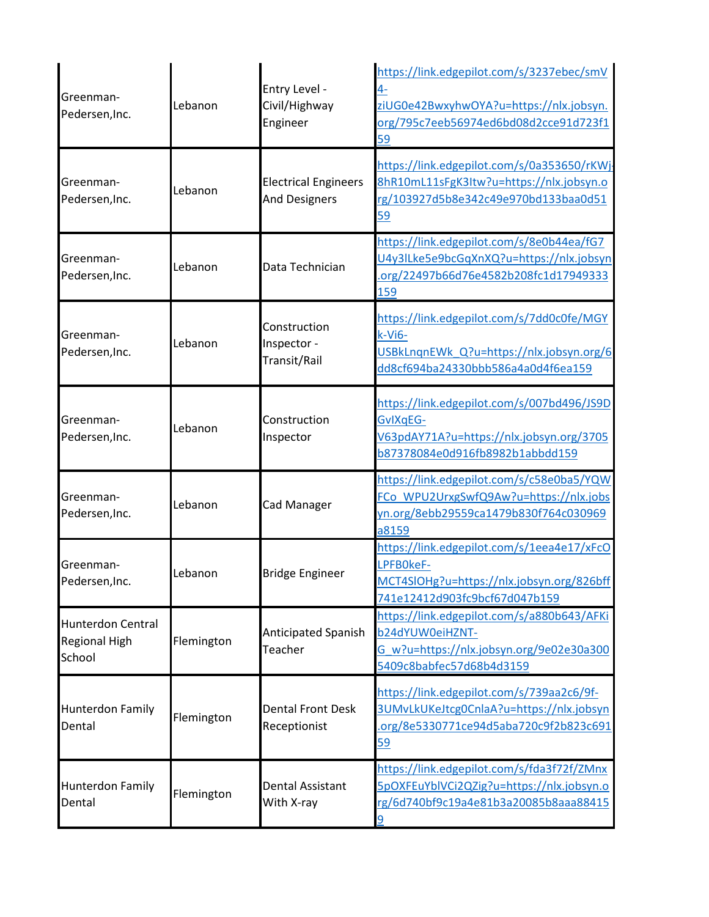| Greenman-<br>Pedersen, Inc.                                | Lebanon    | Entry Level -<br>Civil/Highway<br>Engineer          | https://link.edgepilot.com/s/3237ebec/smV<br>4-<br>ziUG0e42BwxyhwOYA?u=https://nlx.jobsyn.<br>org/795c7eeb56974ed6bd08d2cce91d723f1<br>59 |
|------------------------------------------------------------|------------|-----------------------------------------------------|-------------------------------------------------------------------------------------------------------------------------------------------|
| Greenman-<br>Pedersen, Inc.                                | Lebanon    | <b>Electrical Engineers</b><br><b>And Designers</b> | https://link.edgepilot.com/s/0a353650/rKWj<br>8hR10mL11sFgK3Itw?u=https://nlx.jobsyn.o<br>rg/103927d5b8e342c49e970bd133baa0d51<br>59      |
| Greenman-<br>Pedersen, Inc.                                | Lebanon    | Data Technician                                     | https://link.edgepilot.com/s/8e0b44ea/fG7<br>U4y3ILke5e9bcGqXnXQ?u=https://nlx.jobsyn<br>.org/22497b66d76e4582b208fc1d17949333<br>159     |
| Greenman-<br>Pedersen, Inc.                                | Lebanon    | Construction<br>Inspector -<br>Transit/Rail         | https://link.edgepilot.com/s/7dd0c0fe/MGY<br>k-Vi6-<br>USBkLnqnEWk Q?u=https://nlx.jobsyn.org/6<br>dd8cf694ba24330bbb586a4a0d4f6ea159     |
| Greenman-<br>Pedersen, Inc.                                | Lebanon    | Construction<br>Inspector                           | https://link.edgepilot.com/s/007bd496/JS9D<br>GvIXqEG-<br>V63pdAY71A?u=https://nlx.jobsyn.org/3705<br>b87378084e0d916fb8982b1abbdd159     |
| Greenman-<br>Pedersen, Inc.                                | Lebanon    | Cad Manager                                         | https://link.edgepilot.com/s/c58e0ba5/YQW<br>FCo WPU2UrxgSwfQ9Aw?u=https://nlx.jobs<br>yn.org/8ebb29559ca1479b830f764c030969<br>a8159     |
| Greenman-<br>Pedersen, Inc.                                | Lebanon    | <b>Bridge Engineer</b>                              | https://link.edgepilot.com/s/1eea4e17/xFcO<br>LPFB0keF-<br>MCT4SIOHg?u=https://nlx.jobsyn.org/826bff<br>741e12412d903fc9bcf67d047b159     |
| <b>Hunterdon Central</b><br><b>Regional High</b><br>School | Flemington | Anticipated Spanish<br>Teacher                      | https://link.edgepilot.com/s/a880b643/AFKi<br>b24dYUW0eiHZNT-<br>G w?u=https://nlx.jobsyn.org/9e02e30a300<br>5409c8babfec57d68b4d3159     |
| <b>Hunterdon Family</b><br>Dental                          | Flemington | <b>Dental Front Desk</b><br>Receptionist            | https://link.edgepilot.com/s/739aa2c6/9f-<br>3UMvLkUKeJtcg0CnlaA?u=https://nlx.jobsyn<br>.org/8e5330771ce94d5aba720c9f2b823c691<br>59     |
| <b>Hunterdon Family</b><br>Dental                          | Flemington | Dental Assistant<br>With X-ray                      | https://link.edgepilot.com/s/fda3f72f/ZMnx<br>5pOXFEuYblVCi2QZig?u=https://nlx.jobsyn.o<br>rg/6d740bf9c19a4e81b3a20085b8aaa88415<br>9     |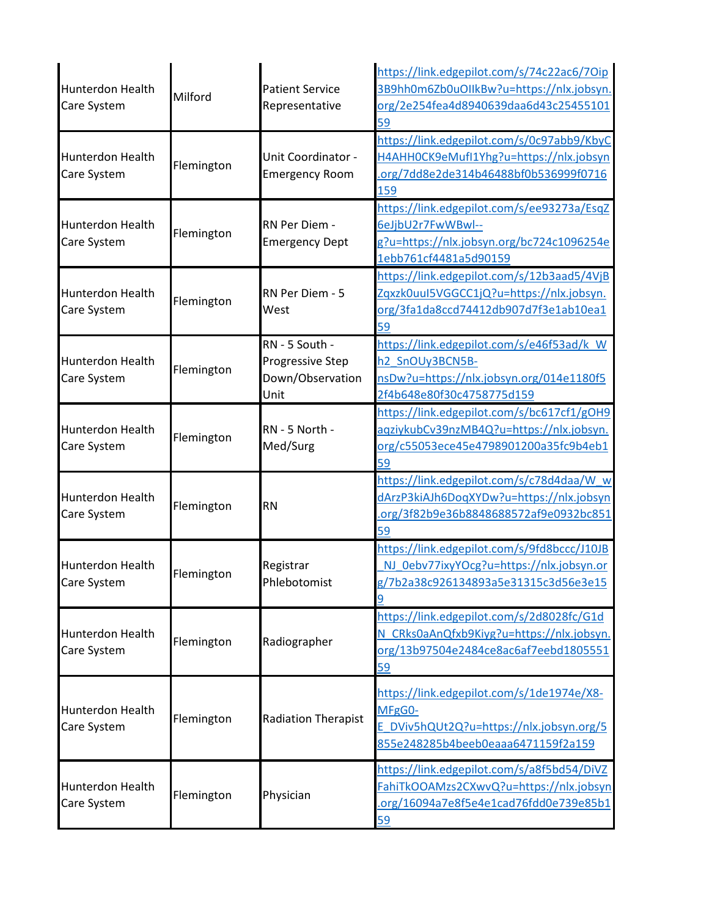| <b>Hunterdon Health</b><br>Care System | Milford    | <b>Patient Service</b><br>Representative                       | https://link.edgepilot.com/s/74c22ac6/7Oip<br>3B9hh0m6Zb0uOIIkBw?u=https://nlx.jobsyn.<br>org/2e254fea4d8940639daa6d43c25455101<br>59 |
|----------------------------------------|------------|----------------------------------------------------------------|---------------------------------------------------------------------------------------------------------------------------------------|
| Hunterdon Health<br>Care System        | Flemington | Unit Coordinator -<br><b>Emergency Room</b>                    | https://link.edgepilot.com/s/0c97abb9/KbyC<br>H4AHHOCK9eMufI1Yhg?u=https://nlx.jobsyn<br>.org/7dd8e2de314b46488bf0b536999f0716<br>159 |
| Hunterdon Health<br>Care System        | Flemington | RN Per Diem -<br><b>Emergency Dept</b>                         | https://link.edgepilot.com/s/ee93273a/EsqZ<br>6eJjbU2r7FwWBwl--<br>g?u=https://nlx.jobsyn.org/bc724c1096254e<br>1ebb761cf4481a5d90159 |
| Hunterdon Health<br>Care System        | Flemington | RN Per Diem - 5<br>West                                        | https://link.edgepilot.com/s/12b3aad5/4VjB<br>Zqxzk0uuI5VGGCC1jQ?u=https://nlx.jobsyn.<br>org/3fa1da8ccd74412db907d7f3e1ab10ea1<br>59 |
| Hunterdon Health<br>Care System        | Flemington | RN - 5 South -<br>Progressive Step<br>Down/Observation<br>Unit | https://link.edgepilot.com/s/e46f53ad/k W<br>h2 SnOUy3BCN5B-<br>nsDw?u=https://nlx.jobsyn.org/014e1180f5<br>2f4b648e80f30c4758775d159 |
| Hunterdon Health<br>Care System        | Flemington | RN - 5 North -<br>Med/Surg                                     | https://link.edgepilot.com/s/bc617cf1/gOH9<br>aqziykubCv39nzMB4Q?u=https://nlx.jobsyn.<br>org/c55053ece45e4798901200a35fc9b4eb1<br>59 |
| Hunterdon Health<br>Care System        | Flemington | <b>RN</b>                                                      | https://link.edgepilot.com/s/c78d4daa/W w<br>dArzP3kiAJh6DoqXYDw?u=https://nlx.jobsyn<br>.org/3f82b9e36b8848688572af9e0932bc851<br>59 |
| Hunterdon Health<br>Care System        | Flemington | Registrar<br>Phlebotomist                                      | https://link.edgepilot.com/s/9fd8bccc/J10JB<br>NJ 0ebv77ixyYOcg?u=https://nlx.jobsyn.or<br>g/7b2a38c926134893a5e31315c3d56e3e15<br>9  |
| Hunterdon Health<br>Care System        | Flemington | Radiographer                                                   | https://link.edgepilot.com/s/2d8028fc/G1d<br>N_CRks0aAnQfxb9Kiyg?u=https://nlx.jobsyn.<br>org/13b97504e2484ce8ac6af7eebd1805551<br>59 |
| Hunterdon Health<br>Care System        | Flemington | <b>Radiation Therapist</b>                                     | https://link.edgepilot.com/s/1de1974e/X8-<br>MFgG0-<br>E DViv5hQUt2Q?u=https://nlx.jobsyn.org/5<br>855e248285b4beeb0eaaa6471159f2a159 |
| Hunterdon Health<br>Care System        | Flemington | Physician                                                      | https://link.edgepilot.com/s/a8f5bd54/DiVZ<br>FahiTkOOAMzs2CXwvQ?u=https://nlx.jobsyn<br>org/16094a7e8f5e4e1cad76fdd0e739e85b1<br>59  |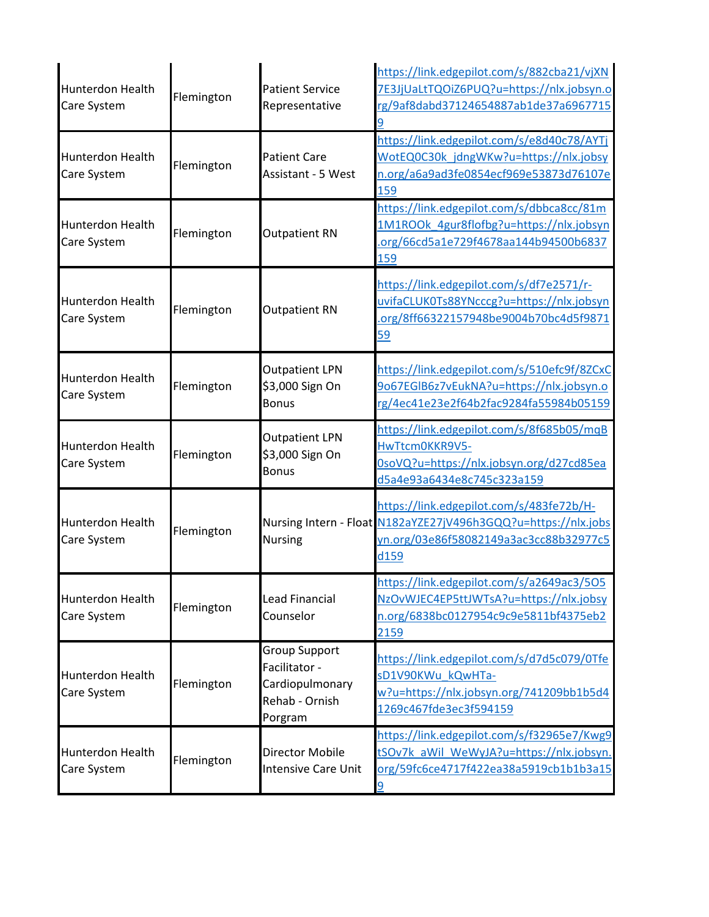| Hunterdon Health<br>Care System        | Flemington | <b>Patient Service</b><br>Representative                                              | https://link.edgepilot.com/s/882cba21/vjXN<br>7E3JjUaLtTQOiZ6PUQ?u=https://nlx.jobsyn.o<br>rg/9af8dabd37124654887ab1de37a6967715<br>9                        |
|----------------------------------------|------------|---------------------------------------------------------------------------------------|--------------------------------------------------------------------------------------------------------------------------------------------------------------|
| Hunterdon Health<br>Care System        | Flemington | <b>Patient Care</b><br><b>Assistant - 5 West</b>                                      | https://link.edgepilot.com/s/e8d40c78/AYTj<br>WotEQ0C30k jdngWKw?u=https://nlx.jobsy<br>n.org/a6a9ad3fe0854ecf969e53873d76107e<br>159                        |
| Hunterdon Health<br>Care System        | Flemington | <b>Outpatient RN</b>                                                                  | https://link.edgepilot.com/s/dbbca8cc/81m<br>1M1ROOk 4gur8flofbg?u=https://nlx.jobsyn<br>.org/66cd5a1e729f4678aa144b94500b6837<br>159                        |
| <b>Hunterdon Health</b><br>Care System | Flemington | <b>Outpatient RN</b>                                                                  | https://link.edgepilot.com/s/df7e2571/r-<br>uvifaCLUK0Ts88YNcccg?u=https://nlx.jobsyn<br>.org/8ff66322157948be9004b70bc4d5f9871<br>59                        |
| Hunterdon Health<br>Care System        | Flemington | <b>Outpatient LPN</b><br>\$3,000 Sign On<br><b>Bonus</b>                              | https://link.edgepilot.com/s/510efc9f/8ZCxC<br>9o67EGIB6z7vEukNA?u=https://nlx.jobsyn.o<br>rg/4ec41e23e2f64b2fac9284fa55984b05159                            |
| Hunterdon Health<br>Care System        | Flemington | <b>Outpatient LPN</b><br>\$3,000 Sign On<br><b>Bonus</b>                              | https://link.edgepilot.com/s/8f685b05/mqB<br>HwTtcm0KKR9V5-<br>0soVQ?u=https://nlx.jobsyn.org/d27cd85ea<br>d5a4e93a6434e8c745c323a159                        |
| Hunterdon Health<br>Care System        | Flemington | <b>Nursing</b>                                                                        | https://link.edgepilot.com/s/483fe72b/H-<br>Nursing Intern - Float N182aYZE27jV496h3GQQ?u=https://nlx.jobs<br>yn.org/03e86f58082149a3ac3cc88b32977c5<br>d159 |
| Hunterdon Health<br>Care System        | Flemington | Lead Financial<br>Counselor                                                           | https://link.edgepilot.com/s/a2649ac3/505<br>NzOvWJEC4EP5ttJWTsA?u=https://nlx.jobsy<br>n.org/6838bc0127954c9c9e5811bf4375eb2<br>2159                        |
| Hunterdon Health<br>Care System        | Flemington | <b>Group Support</b><br>Facilitator -<br>Cardiopulmonary<br>Rehab - Ornish<br>Porgram | https://link.edgepilot.com/s/d7d5c079/0Tfe<br>sD1V90KWu kQwHTa-<br>w?u=https://nlx.jobsyn.org/741209bb1b5d4<br>1269c467fde3ec3f594159                        |
| Hunterdon Health<br>Care System        | Flemington | Director Mobile<br><b>Intensive Care Unit</b>                                         | https://link.edgepilot.com/s/f32965e7/Kwg9<br>tSOv7k aWil WeWyJA?u=https://nlx.jobsyn.<br>org/59fc6ce4717f422ea38a5919cb1b1b3a15<br>$\overline{9}$           |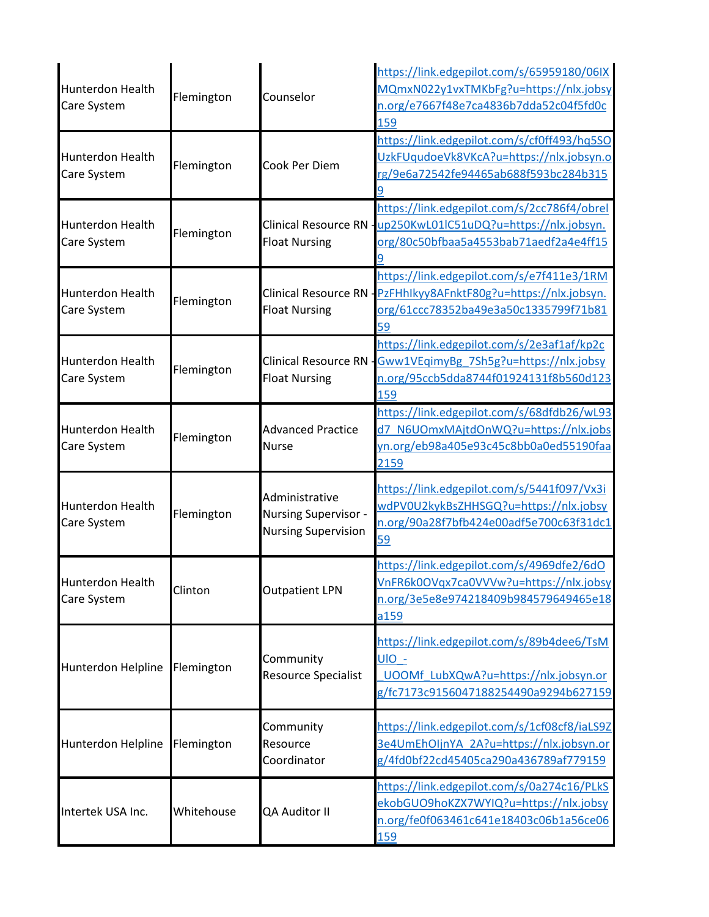| Hunterdon Health<br>Care System        | Flemington | Counselor                                                            | https://link.edgepilot.com/s/65959180/06IX<br>MQmxN022y1vxTMKbFg?u=https://nlx.jobsy<br>n.org/e7667f48e7ca4836b7dda52c04f5fd0c<br>159 |
|----------------------------------------|------------|----------------------------------------------------------------------|---------------------------------------------------------------------------------------------------------------------------------------|
| Hunterdon Health<br>Care System        | Flemington | Cook Per Diem                                                        | https://link.edgepilot.com/s/cf0ff493/hq5SO<br>UzkFUqudoeVk8VKcA?u=https://nlx.jobsyn.o<br>rg/9e6a72542fe94465ab688f593bc284b315      |
| Hunterdon Health<br>Care System        | Flemington | <b>Clinical Resource RN</b><br><b>Float Nursing</b>                  | https://link.edgepilot.com/s/2cc786f4/obrel<br>up250KwL01lC51uDQ?u=https://nlx.jobsyn.<br>org/80c50bfbaa5a4553bab71aedf2a4e4ff15      |
| Hunterdon Health<br>Care System        | Flemington | <b>Clinical Resource RN</b><br><b>Float Nursing</b>                  | https://link.edgepilot.com/s/e7f411e3/1RM<br>PzFHhlkyy8AFnktF80g?u=https://nlx.jobsyn.<br>org/61ccc78352ba49e3a50c1335799f71b81<br>59 |
| Hunterdon Health<br>Care System        | Flemington | <b>Clinical Resource RN</b><br><b>Float Nursing</b>                  | https://link.edgepilot.com/s/2e3af1af/kp2c<br>Gww1VEqimyBg 7Sh5g?u=https://nlx.jobsy<br>n.org/95ccb5dda8744f01924131f8b560d123<br>159 |
| Hunterdon Health<br>Care System        | Flemington | <b>Advanced Practice</b><br><b>Nurse</b>                             | https://link.edgepilot.com/s/68dfdb26/wL93<br>d7 N6UOmxMAjtdOnWQ?u=https://nlx.jobs<br>yn.org/eb98a405e93c45c8bb0a0ed55190faa<br>2159 |
| <b>Hunterdon Health</b><br>Care System | Flemington | Administrative<br>Nursing Supervisor -<br><b>Nursing Supervision</b> | https://link.edgepilot.com/s/5441f097/Vx3i<br>wdPV0U2kykBsZHHSGQ?u=https://nlx.jobsy<br>n.org/90a28f7bfb424e00adf5e700c63f31dc1<br>59 |
| Hunterdon Health<br>Care System        | Clinton    | <b>Outpatient LPN</b>                                                | https://link.edgepilot.com/s/4969dfe2/6dO<br>VnFR6k0OVqx7ca0VVVw?u=https://nlx.jobsy<br>n.org/3e5e8e974218409b984579649465e18<br>a159 |
| Hunterdon Helpline                     | Flemington | Community<br><b>Resource Specialist</b>                              | https://link.edgepilot.com/s/89b4dee6/TsM<br>UIO -<br>UOOMf LubXQwA?u=https://nlx.jobsyn.or<br>g/fc7173c9156047188254490a9294b627159  |
| Hunterdon Helpline                     | Flemington | Community<br>Resource<br>Coordinator                                 | https://link.edgepilot.com/s/1cf08cf8/iaLS9Z<br>3e4UmEhOljnYA 2A?u=https://nlx.jobsyn.or<br>g/4fd0bf22cd45405ca290a436789af779159     |
| Intertek USA Inc.                      | Whitehouse | QA Auditor II                                                        | https://link.edgepilot.com/s/0a274c16/PLkS<br>ekobGUO9hoKZX7WYIQ?u=https://nlx.jobsy<br>n.org/fe0f063461c641e18403c06b1a56ce06<br>159 |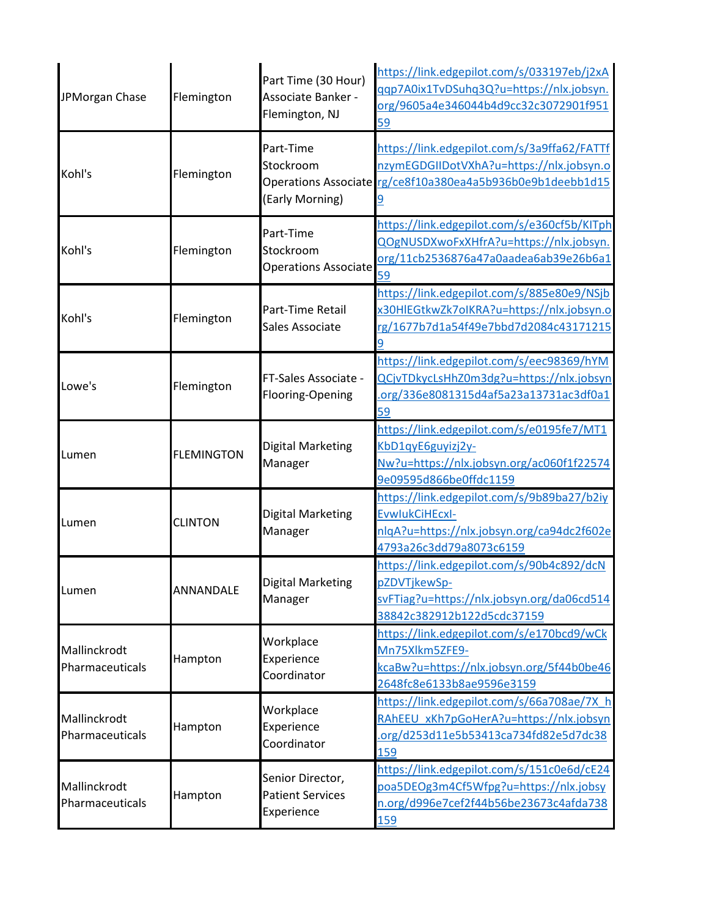| JPMorgan Chase                  | Flemington        | Part Time (30 Hour)<br>Associate Banker -<br>Flemington, NJ | https://link.edgepilot.com/s/033197eb/j2xA<br>qqp7A0ix1TvDSuhq3Q?u=https://nlx.jobsyn.<br>org/9605a4e346044b4d9cc32c3072901f951<br>59                      |
|---------------------------------|-------------------|-------------------------------------------------------------|------------------------------------------------------------------------------------------------------------------------------------------------------------|
| Kohl's                          | Flemington        | Part-Time<br>Stockroom<br>(Early Morning)                   | https://link.edgepilot.com/s/3a9ffa62/FATTf<br>nzymEGDGIIDotVXhA?u=https://nlx.jobsyn.o<br>Operations Associate rg/ce8f10a380ea4a5b936b0e9b1deebb1d15<br>9 |
| Kohl's                          | Flemington        | Part-Time<br>Stockroom<br><b>Operations Associate</b>       | https://link.edgepilot.com/s/e360cf5b/KITph<br>QOgNUSDXwoFxXHfrA?u=https://nlx.jobsyn.<br>org/11cb2536876a47a0aadea6ab39e26b6a1<br>59                      |
| Kohl's                          | Flemington        | Part-Time Retail<br>Sales Associate                         | https://link.edgepilot.com/s/885e80e9/NSjb<br>x30HIEGtkwZk7oIKRA?u=https://nlx.jobsyn.o<br>rg/1677b7d1a54f49e7bbd7d2084c43171215<br>9                      |
| Lowe's                          | Flemington        | FT-Sales Associate -<br>Flooring-Opening                    | https://link.edgepilot.com/s/eec98369/hYM<br>QCjvTDkycLsHhZ0m3dg?u=https://nlx.jobsyn<br>.org/336e8081315d4af5a23a13731ac3df0a1<br>59                      |
| Lumen                           | <b>FLEMINGTON</b> | Digital Marketing<br>Manager                                | https://link.edgepilot.com/s/e0195fe7/MT1<br>KbD1qyE6guyizj2y-<br>Nw?u=https://nlx.jobsyn.org/ac060f1f22574<br>9e09595d866be0ffdc1159                      |
| Lumen                           | <b>CLINTON</b>    | Digital Marketing<br>Manager                                | https://link.edgepilot.com/s/9b89ba27/b2iy<br>EvwlukCiHEcxl-<br>nlqA?u=https://nlx.jobsyn.org/ca94dc2f602e<br>4793a26c3dd79a8073c6159                      |
| Lumen                           | ANNANDALE         | <b>Digital Marketing</b><br>Manager                         | https://link.edgepilot.com/s/90b4c892/dcN<br>pZDVTjkewSp-<br>svFTiag?u=https://nlx.jobsyn.org/da06cd514<br>38842c382912b122d5cdc37159                      |
| Mallinckrodt<br>Pharmaceuticals | Hampton           | Workplace<br>Experience<br>Coordinator                      | https://link.edgepilot.com/s/e170bcd9/wCk<br>Mn75Xlkm5ZFE9-<br>kcaBw?u=https://nlx.jobsyn.org/5f44b0be46<br>2648fc8e6133b8ae9596e3159                      |
| Mallinckrodt<br>Pharmaceuticals | Hampton           | Workplace<br>Experience<br>Coordinator                      | https://link.edgepilot.com/s/66a708ae/7X_h<br>RAhEEU xKh7pGoHerA?u=https://nlx.jobsyn<br>.org/d253d11e5b53413ca734fd82e5d7dc38<br>159                      |
| Mallinckrodt<br>Pharmaceuticals | Hampton           | Senior Director,<br><b>Patient Services</b><br>Experience   | https://link.edgepilot.com/s/151c0e6d/cE24<br>poa5DEOg3m4Cf5Wfpg?u=https://nlx.jobsy<br>n.org/d996e7cef2f44b56be23673c4afda738<br>159                      |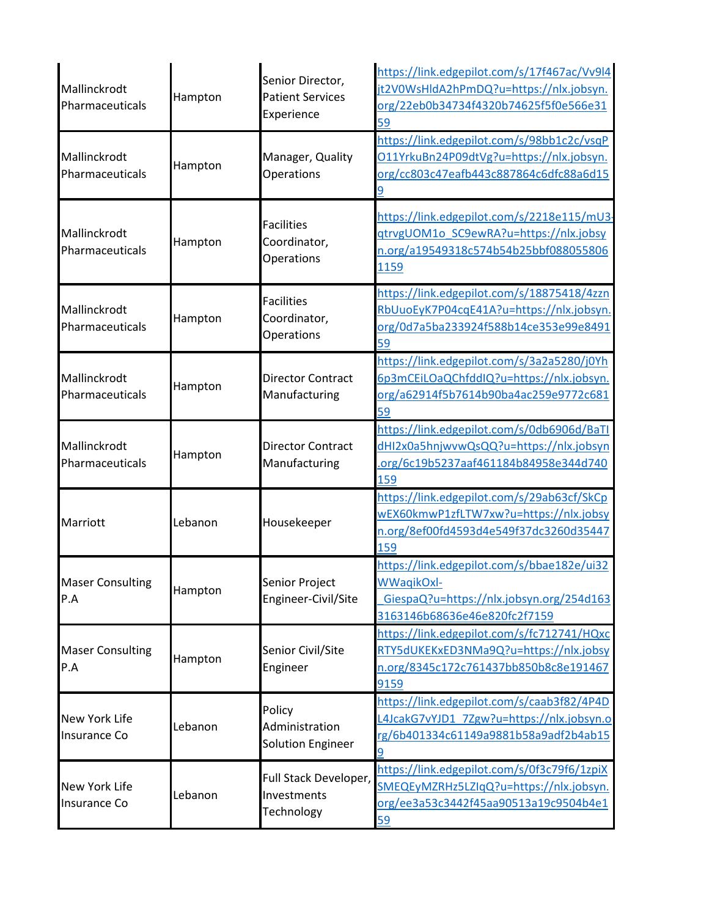| Mallinckrodt<br>Pharmaceuticals      | Hampton | Senior Director,<br><b>Patient Services</b><br>Experience | https://link.edgepilot.com/s/17f467ac/Vv9l4<br>jt2V0WsHldA2hPmDQ?u=https://nlx.jobsyn.<br>org/22eb0b34734f4320b74625f5f0e566e31<br>59 |
|--------------------------------------|---------|-----------------------------------------------------------|---------------------------------------------------------------------------------------------------------------------------------------|
| Mallinckrodt<br>Pharmaceuticals      | Hampton | Manager, Quality<br>Operations                            | https://link.edgepilot.com/s/98bb1c2c/vsqP<br>O11YrkuBn24P09dtVg?u=https://nlx.jobsyn.<br>org/cc803c47eafb443c887864c6dfc88a6d15<br>9 |
| Mallinckrodt<br>Pharmaceuticals      | Hampton | <b>Facilities</b><br>Coordinator,<br>Operations           | https://link.edgepilot.com/s/2218e115/mU3-<br>qtrvgUOM1o_SC9ewRA?u=https://nlx.jobsy<br>n.org/a19549318c574b54b25bbf088055806<br>1159 |
| Mallinckrodt<br>Pharmaceuticals      | Hampton | <b>Facilities</b><br>Coordinator,<br><b>Operations</b>    | https://link.edgepilot.com/s/18875418/4zzn<br>RbUuoEyK7P04cqE41A?u=https://nlx.jobsyn.<br>org/0d7a5ba233924f588b14ce353e99e8491<br>59 |
| Mallinckrodt<br>Pharmaceuticals      | Hampton | <b>Director Contract</b><br>Manufacturing                 | https://link.edgepilot.com/s/3a2a5280/j0Yh<br>6p3mCEiLOaQChfddIQ?u=https://nlx.jobsyn.<br>org/a62914f5b7614b90ba4ac259e9772c681<br>59 |
| Mallinckrodt<br>Pharmaceuticals      | Hampton | Director Contract<br>Manufacturing                        | https://link.edgepilot.com/s/0db6906d/BaTI<br>dHI2x0a5hnjwvwQsQQ?u=https://nlx.jobsyn<br>.org/6c19b5237aaf461184b84958e344d740<br>159 |
| Marriott                             | Lebanon | Housekeeper                                               | https://link.edgepilot.com/s/29ab63cf/SkCp<br>wEX60kmwP1zfLTW7xw?u=https://nlx.jobsy<br>n.org/8ef00fd4593d4e549f37dc3260d35447<br>159 |
| <b>Maser Consulting</b><br>P.A       | Hampton | Senior Project<br>Engineer-Civil/Site                     | https://link.edgepilot.com/s/bbae182e/ui32<br>WWaqikOxl-<br>GiespaQ?u=https://nlx.jobsyn.org/254d163<br>3163146b68636e46e820fc2f7159  |
| <b>Maser Consulting</b><br>P.A       | Hampton | Senior Civil/Site<br>Engineer                             | https://link.edgepilot.com/s/fc712741/HQxc<br>RTY5dUKEKxED3NMa9Q?u=https://nlx.jobsy<br>n.org/8345c172c761437bb850b8c8e191467<br>9159 |
| <b>New York Life</b><br>Insurance Co | Lebanon | Policy<br>Administration<br><b>Solution Engineer</b>      | https://link.edgepilot.com/s/caab3f82/4P4D<br>L4JcakG7vYJD1 7Zgw?u=https://nlx.jobsyn.o<br>rg/6b401334c61149a9881b58a9adf2b4ab15      |
| <b>New York Life</b><br>Insurance Co | Lebanon | Full Stack Developer,<br>Investments<br>Technology        | https://link.edgepilot.com/s/0f3c79f6/1zpiX<br>SMEQEyMZRHz5LZIqQ?u=https://nlx.jobsyn.<br>org/ee3a53c3442f45aa90513a19c9504b4e1<br>59 |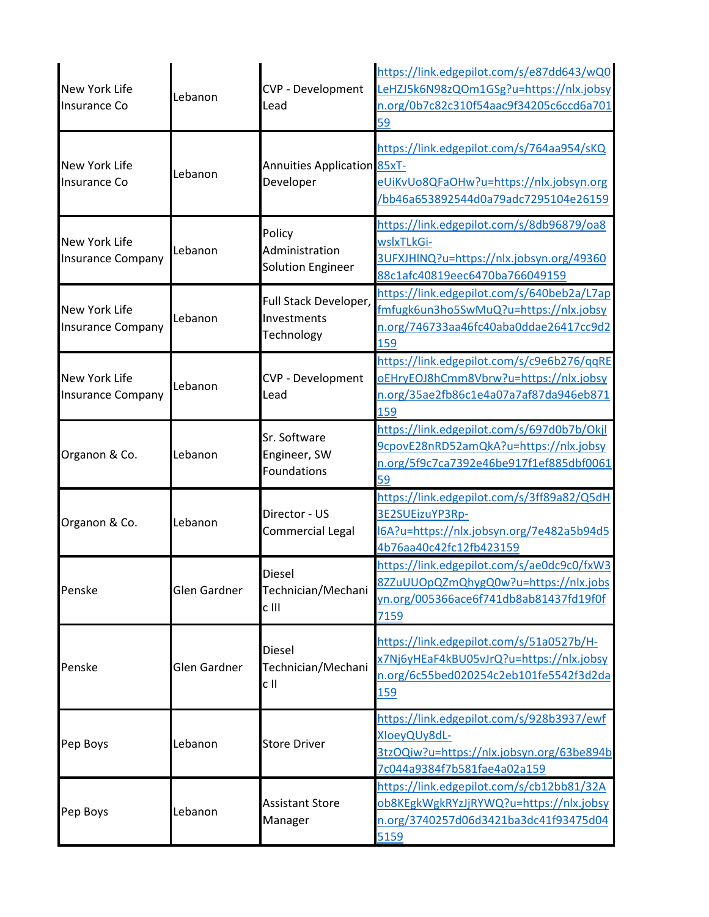| New York Life<br><b>Insurance Co</b>      | Lebanon      | CVP - Development<br>Lead                            | https://link.edgepilot.com/s/e87dd643/wQ0<br>LeHZJ5k6N98zQOm1GSg?u=https://nlx.jobsy<br>n.org/0b7c82c310f54aac9f34205c6ccd6a701<br>59        |
|-------------------------------------------|--------------|------------------------------------------------------|----------------------------------------------------------------------------------------------------------------------------------------------|
| New York Life<br>Insurance Co             | Lebanon      | <b>Annuities Application 85xT-</b><br>Developer      | https://link.edgepilot.com/s/764aa954/sKQ<br>eUiKvUo8QFaOHw?u=https://nlx.jobsyn.org<br>bb46a653892544d0a79adc7295104e26159                  |
| New York Life<br><b>Insurance Company</b> | Lebanon      | Policy<br>Administration<br><b>Solution Engineer</b> | https://link.edgepilot.com/s/8db96879/oa8<br>wslxTLkGi-<br>3UFXJHINQ?u=https://nlx.jobsyn.org/49360<br>88c1afc40819eec6470ba766049159        |
| New York Life<br><b>Insurance Company</b> | Lebanon      | Full Stack Developer,<br>Investments<br>Technology   | https://link.edgepilot.com/s/640beb2a/L7ap<br>fmfugk6un3ho5SwMuQ?u=https://nlx.jobsy<br>n.org/746733aa46fc40aba0ddae26417cc9d2<br>159        |
| New York Life<br><b>Insurance Company</b> | Lebanon      | CVP - Development<br>Lead                            | https://link.edgepilot.com/s/c9e6b276/qqRE<br>oEHryEOJ8hCmm8Vbrw?u=https://nlx.jobsy<br>n.org/35ae2fb86c1e4a07a7af87da946eb871<br>159        |
| Organon & Co.                             | Lebanon      | Sr. Software<br>Engineer, SW<br>Foundations          | https://link.edgepilot.com/s/697d0b7b/Okjl<br>9cpovE28nRD52amQkA?u=https://nlx.jobsy<br>n.org/5f9c7ca7392e46be917f1ef885dbf0061<br>59        |
| Organon & Co.                             | Lebanon      | Director - US<br>Commercial Legal                    | https://link.edgepilot.com/s/3ff89a82/Q5dH<br>3E2SUEizuYP3Rp-<br>I6A?u=https://nlx.jobsyn.org/7e482a5b94d5<br>4b76aa40c42fc12fb423159        |
| Penske                                    | Glen Gardner | <b>Diesel</b><br>Technician/Mechani<br>c III         | https://link.edgepilot.com/s/ae0dc9c0/fxW3<br>8ZZuUUOpQZmQhygQ0w?u=https://nlx.jobs<br>yn.org/005366ace6f741db8ab81437fd19f0f<br>7159        |
| Penske                                    | Glen Gardner | Diesel<br>Technician/Mechani<br>c II                 | https://link.edgepilot.com/s/51a0527b/H-<br>x7Nj6yHEaF4kBU05vJrQ?u=https://nlx.jobsy<br>n.org/6c55bed020254c2eb101fe5542f3d2da<br><b>159</b> |
| Pep Boys                                  | Lebanon      | <b>Store Driver</b>                                  | https://link.edgepilot.com/s/928b3937/ewf<br>XloeyQUy8dL-<br>3tzOQiw?u=https://nlx.jobsyn.org/63be894b<br>7c044a9384f7b581fae4a02a159        |
| Pep Boys                                  | Lebanon      | <b>Assistant Store</b><br>Manager                    | https://link.edgepilot.com/s/cb12bb81/32A<br>ob8KEgkWgkRYzJjRYWQ?u=https://nlx.jobsy<br>n.org/3740257d06d3421ba3dc41f93475d04<br>5159        |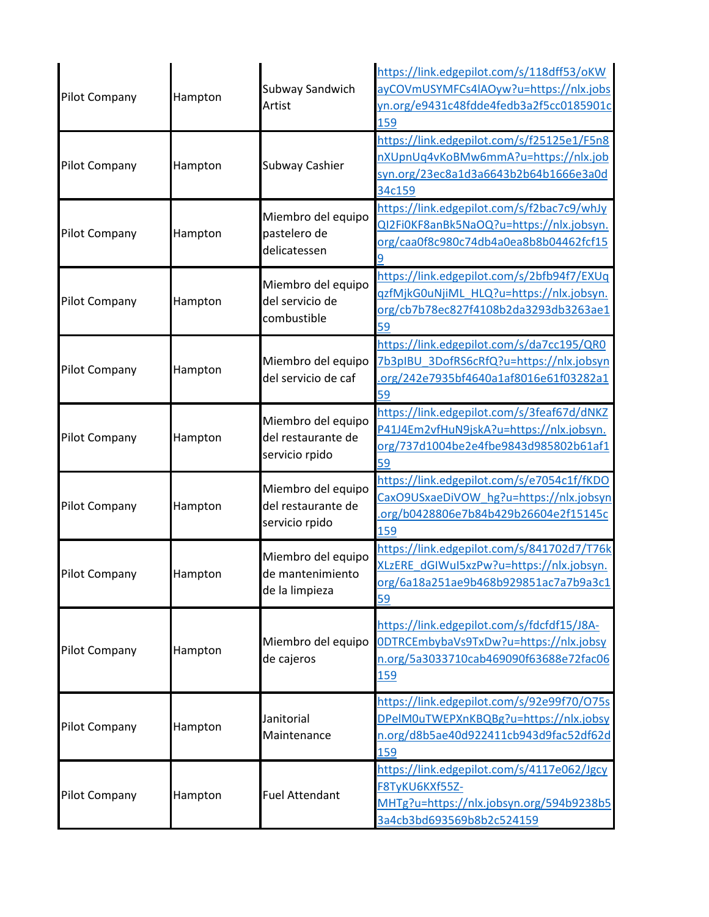| Pilot Company        | Hampton | Subway Sandwich<br>Artist                                  | https://link.edgepilot.com/s/118dff53/oKW<br>ayCOVmUSYMFCs4lAOyw?u=https://nlx.jobs<br>yn.org/e9431c48fdde4fedb3a2f5cc0185901c<br>159        |
|----------------------|---------|------------------------------------------------------------|----------------------------------------------------------------------------------------------------------------------------------------------|
| Pilot Company        | Hampton | Subway Cashier                                             | https://link.edgepilot.com/s/f25125e1/F5n8<br>nXUpnUq4vKoBMw6mmA?u=https://nlx.job<br>syn.org/23ec8a1d3a6643b2b64b1666e3a0d<br>34c159        |
| Pilot Company        | Hampton | Miembro del equipo<br>pastelero de<br>delicatessen         | https://link.edgepilot.com/s/f2bac7c9/whJy<br>QI2Fi0KF8anBk5NaOQ?u=https://nlx.jobsyn.<br>org/caa0f8c980c74db4a0ea8b8b04462fcf15             |
| <b>Pilot Company</b> | Hampton | Miembro del equipo<br>del servicio de<br>combustible       | https://link.edgepilot.com/s/2bfb94f7/EXUq<br>qzfMjkG0uNjiML HLQ?u=https://nlx.jobsyn.<br>org/cb7b78ec827f4108b2da3293db3263ae1<br>59        |
| <b>Pilot Company</b> | Hampton | Miembro del equipo<br>del servicio de caf                  | https://link.edgepilot.com/s/da7cc195/QR0<br>7b3pIBU 3DofRS6cRfQ?u=https://nlx.jobsyn<br>.org/242e7935bf4640a1af8016e61f03282a1<br>59        |
| <b>Pilot Company</b> | Hampton | Miembro del equipo<br>del restaurante de<br>servicio rpido | https://link.edgepilot.com/s/3feaf67d/dNKZ<br>P41J4Em2vfHuN9jskA?u=https://nlx.jobsyn.<br>org/737d1004be2e4fbe9843d985802b61af1<br>59        |
| Pilot Company        | Hampton | Miembro del equipo<br>del restaurante de<br>servicio rpido | https://link.edgepilot.com/s/e7054c1f/fKDO<br>CaxO9USxaeDiVOW hg?u=https://nlx.jobsyn<br>.org/b0428806e7b84b429b26604e2f15145c<br>159        |
| <b>Pilot Company</b> | Hampton | Miembro del equipo<br>de mantenimiento<br>de la limpieza   | https://link.edgepilot.com/s/841702d7/T76k<br>XLzERE dGIWuI5xzPw?u=https://nlx.jobsyn.<br>org/6a18a251ae9b468b929851ac7a7b9a3c1<br>59        |
| <b>Pilot Company</b> | Hampton | Miembro del equipo<br>de cajeros                           | https://link.edgepilot.com/s/fdcfdf15/J8A-<br>0DTRCEmbybaVs9TxDw?u=https://nlx.jobsy<br>n.org/5a3033710cab469090f63688e72fac06<br><b>159</b> |
| <b>Pilot Company</b> | Hampton | Janitorial<br>Maintenance                                  | https://link.edgepilot.com/s/92e99f70/075s<br>DPelM0uTWEPXnKBQBg?u=https://nlx.jobsy<br>n.org/d8b5ae40d922411cb943d9fac52df62d<br>159        |
| <b>Pilot Company</b> | Hampton | <b>Fuel Attendant</b>                                      | https://link.edgepilot.com/s/4117e062/Jgcy<br>F8TyKU6KXf55Z-<br>MHTg?u=https://nlx.jobsyn.org/594b9238b5<br>3a4cb3bd693569b8b2c524159        |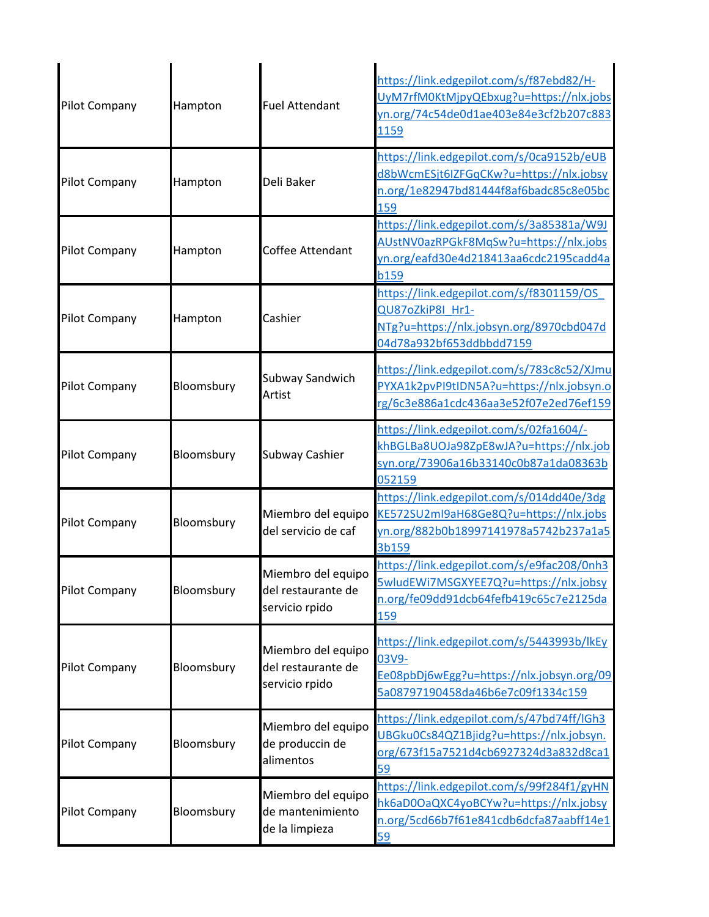| <b>Pilot Company</b> | Hampton    | <b>Fuel Attendant</b>                                      | https://link.edgepilot.com/s/f87ebd82/H-<br>UyM7rfM0KtMjpyQEbxug?u=https://nlx.jobs<br>yn.org/74c54de0d1ae403e84e3cf2b207c883<br>1159        |
|----------------------|------------|------------------------------------------------------------|----------------------------------------------------------------------------------------------------------------------------------------------|
| <b>Pilot Company</b> | Hampton    | Deli Baker                                                 | https://link.edgepilot.com/s/0ca9152b/eUB<br>d8bWcmESjt6IZFGqCKw?u=https://nlx.jobsy<br>n.org/1e82947bd81444f8af6badc85c8e05bc<br>159        |
| <b>Pilot Company</b> | Hampton    | <b>Coffee Attendant</b>                                    | https://link.edgepilot.com/s/3a85381a/W9J<br>AUstNV0azRPGkF8MqSw?u=https://nlx.jobs<br>yn.org/eafd30e4d218413aa6cdc2195cadd4a<br><b>b159</b> |
| <b>Pilot Company</b> | Hampton    | Cashier                                                    | https://link.edgepilot.com/s/f8301159/OS<br>QU87oZkiP8I Hr1-<br>NTg?u=https://nlx.jobsyn.org/8970cbd047d<br>04d78a932bf653ddbbdd7159         |
| Pilot Company        | Bloomsbury | Subway Sandwich<br>Artist                                  | https://link.edgepilot.com/s/783c8c52/XJmu<br>PYXA1k2pvPI9tIDN5A?u=https://nlx.jobsyn.o<br>rg/6c3e886a1cdc436aa3e52f07e2ed76ef159            |
| <b>Pilot Company</b> | Bloomsbury | Subway Cashier                                             | https://link.edgepilot.com/s/02fa1604/-<br>khBGLBa8UOJa98ZpE8wJA?u=https://nlx.job<br>syn.org/73906a16b33140c0b87a1da08363b<br>052159        |
| Pilot Company        | Bloomsbury | Miembro del equipo<br>del servicio de caf                  | https://link.edgepilot.com/s/014dd40e/3dg<br>KE572SU2ml9aH68Ge8Q?u=https://nlx.jobs<br>yn.org/882b0b18997141978a5742b237a1a5<br>3b159        |
| <b>Pilot Company</b> | Bloomsbury | Miembro del equipo<br>del restaurante de<br>servicio rpido | https://link.edgepilot.com/s/e9fac208/0nh3<br>5wludEWi7MSGXYEE7Q?u=https://nlx.jobsy<br>n.org/fe09dd91dcb64fefb419c65c7e2125da<br><b>159</b> |
| <b>Pilot Company</b> | Bloomsbury | Miembro del equipo<br>del restaurante de<br>servicio rpido | https://link.edgepilot.com/s/5443993b/lkEy<br>03V9-<br>Ee08pbDj6wEgg?u=https://nlx.jobsyn.org/09<br>5a08797190458da46b6e7c09f1334c159        |
| <b>Pilot Company</b> | Bloomsbury | Miembro del equipo<br>de produccin de<br>alimentos         | https://link.edgepilot.com/s/47bd74ff/lGh3<br>UBGku0Cs84QZ1Bjidg?u=https://nlx.jobsyn.<br>org/673f15a7521d4cb6927324d3a832d8ca1<br>59        |
| <b>Pilot Company</b> | Bloomsbury | Miembro del equipo<br>de mantenimiento<br>de la limpieza   | https://link.edgepilot.com/s/99f284f1/gyHN<br>hk6aD0OaQXC4yoBCYw?u=https://nlx.jobsy<br>n.org/5cd66b7f61e841cdb6dcfa87aabff14e1<br>59        |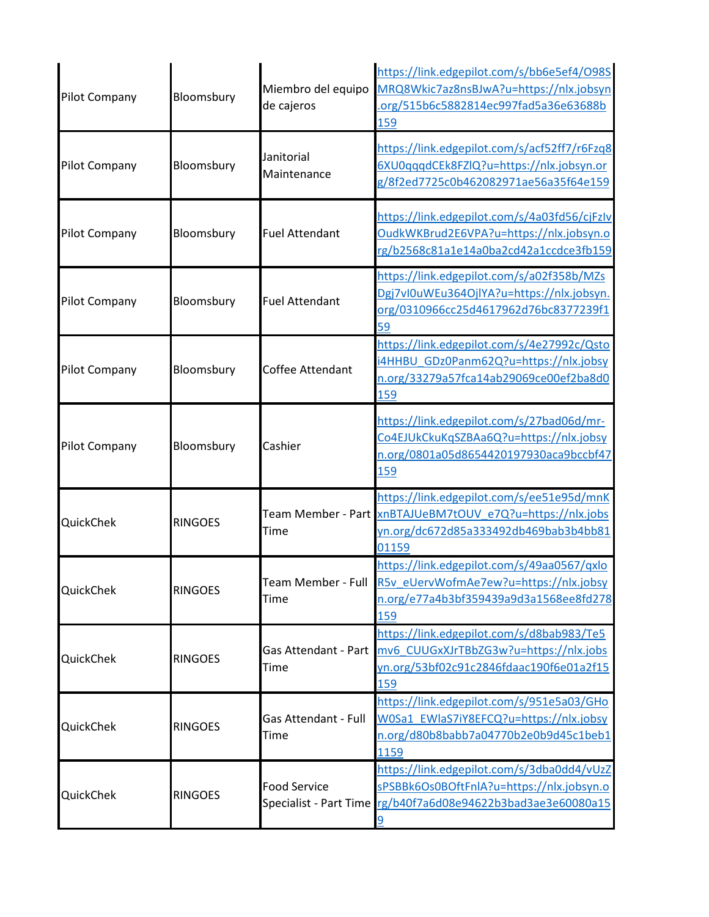| <b>Pilot Company</b> | Bloomsbury     | Miembro del equipo<br>de cajeros | https://link.edgepilot.com/s/bb6e5ef4/098S<br>MRQ8Wkic7az8nsBJwA?u=https://nlx.jobsyn<br>.org/515b6c5882814ec997fad5a36e63688b<br>159                        |
|----------------------|----------------|----------------------------------|--------------------------------------------------------------------------------------------------------------------------------------------------------------|
| Pilot Company        | Bloomsbury     | Janitorial<br>Maintenance        | https://link.edgepilot.com/s/acf52ff7/r6Fzq8<br>6XU0qqqdCEk8FZlQ?u=https://nlx.jobsyn.or<br>g/8f2ed7725c0b462082971ae56a35f64e159                            |
| Pilot Company        | Bloomsbury     | <b>Fuel Attendant</b>            | https://link.edgepilot.com/s/4a03fd56/cjFzIv<br>OudkWKBrud2E6VPA?u=https://nlx.jobsyn.o<br>rg/b2568c81a1e14a0ba2cd42a1ccdce3fb159                            |
| Pilot Company        | Bloomsbury     | <b>Fuel Attendant</b>            | https://link.edgepilot.com/s/a02f358b/MZs<br>Dgj7vl0uWEu364OjlYA?u=https://nlx.jobsyn.<br>org/0310966cc25d4617962d76bc8377239f1<br>59                        |
| <b>Pilot Company</b> | Bloomsbury     | Coffee Attendant                 | https://link.edgepilot.com/s/4e27992c/Qsto<br>i4HHBU_GDz0Panm62Q?u=https://nlx.jobsy<br>n.org/33279a57fca14ab29069ce00ef2ba8d0<br>159                        |
| <b>Pilot Company</b> | Bloomsbury     | Cashier                          | https://link.edgepilot.com/s/27bad06d/mr-<br>Co4EJUkCkuKqSZBAa6Q?u=https://nlx.jobsy<br>n.org/0801a05d8654420197930aca9bccbf47<br>159                        |
| QuickChek            | <b>RINGOES</b> | Team Member - Part<br>Time       | https://link.edgepilot.com/s/ee51e95d/mnK<br>xnBTAJUeBM7tOUV e7Q?u=https://nlx.jobs<br>yn.org/dc672d85a333492db469bab3b4bb81<br>01159                        |
| QuickChek            | <b>RINGOES</b> | Time                             | https://link.edgepilot.com/s/49aa0567/qxlo<br>Team Member - Full R5v eUervWofmAe7ew?u=https://nlx.jobsy<br>n.org/e77a4b3bf359439a9d3a1568ee8fd278<br>159     |
| QuickChek            | <b>RINGOES</b> | Gas Attendant - Part<br>Time     | https://link.edgepilot.com/s/d8bab983/Te5<br>mv6 CUUGxXJrTBbZG3w?u=https://nlx.jobs<br>yn.org/53bf02c91c2846fdaac190f6e01a2f15<br>159                        |
| QuickChek            | <b>RINGOES</b> | Gas Attendant - Full<br>Time     | https://link.edgepilot.com/s/951e5a03/GHo<br>W0Sa1 EWlaS7iY8EFCQ?u=https://nlx.jobsy<br>n.org/d80b8babb7a04770b2e0b9d45c1beb1<br>1159                        |
| QuickChek            | <b>RINGOES</b> | <b>Food Service</b>              | https://link.edgepilot.com/s/3dba0dd4/vUzZ<br>sPSBBk6Os0BOftFnlA?u=https://nlx.jobsyn.o<br>Specialist - Part Time rg/b40f7a6d08e94622b3bad3ae3e60080a15<br>9 |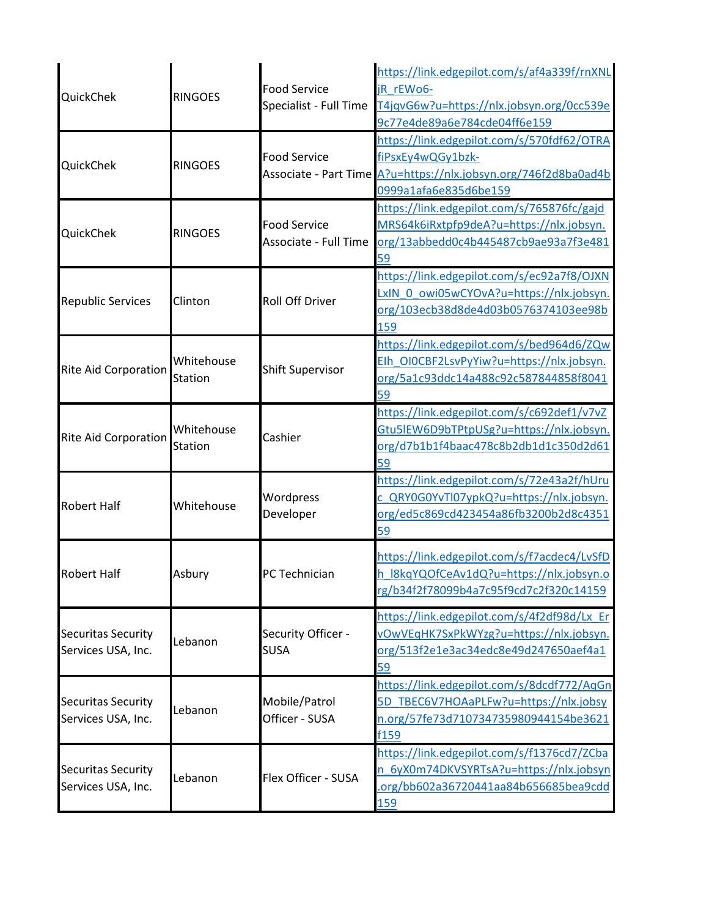| QuickChek                                       | <b>RINGOES</b>               | <b>Food Service</b><br>Specialist - Full Time | https://link.edgepilot.com/s/af4a339f/rnXNL<br>jR rEWo6-<br>T4jqvG6w?u=https://nlx.jobsyn.org/0cc539e<br>9c77e4de89a6e784cde04ff6e159                       |
|-------------------------------------------------|------------------------------|-----------------------------------------------|-------------------------------------------------------------------------------------------------------------------------------------------------------------|
| QuickChek                                       | <b>RINGOES</b>               | <b>Food Service</b>                           | https://link.edgepilot.com/s/570fdf62/OTRA<br>fiPsxEy4wQGy1bzk-<br>Associate - Part Time A?u=https://nlx.jobsyn.org/746f2d8ba0ad4b<br>0999a1afa6e835d6be159 |
| QuickChek                                       | <b>RINGOES</b>               | <b>Food Service</b><br>Associate - Full Time  | https://link.edgepilot.com/s/765876fc/gajd<br>MRS64k6iRxtpfp9deA?u=https://nlx.jobsyn.<br>org/13abbedd0c4b445487cb9ae93a7f3e481<br>59                       |
| <b>Republic Services</b>                        | Clinton                      | <b>Roll Off Driver</b>                        | https://link.edgepilot.com/s/ec92a7f8/OJXN<br>LxIN 0 owi05wCYOvA?u=https://nlx.jobsyn.<br>org/103ecb38d8de4d03b0576374103ee98b<br>159                       |
| <b>Rite Aid Corporation</b>                     | Whitehouse<br><b>Station</b> | <b>Shift Supervisor</b>                       | https://link.edgepilot.com/s/bed964d6/ZQw<br>Elh OIOCBF2LsvPyYiw?u=https://nlx.jobsyn.<br>org/5a1c93ddc14a488c92c587844858f8041<br>59                       |
| <b>Rite Aid Corporation</b>                     | Whitehouse<br><b>Station</b> | Cashier                                       | https://link.edgepilot.com/s/c692def1/v7vZ<br>Gtu5lEW6D9bTPtpUSg?u=https://nlx.jobsyn.<br>org/d7b1b1f4baac478c8b2db1d1c350d2d61<br>59                       |
| <b>Robert Half</b>                              | Whitehouse                   | Wordpress<br>Developer                        | https://link.edgepilot.com/s/72e43a2f/hUru<br>c QRY0G0YvTl07ypkQ?u=https://nlx.jobsyn.<br>org/ed5c869cd423454a86fb3200b2d8c4351<br>59                       |
| <b>Robert Half</b>                              | Asbury                       | PC Technician                                 | https://link.edgepilot.com/s/f7acdec4/LvSfD<br>h I8kqYQOfCeAv1dQ?u=https://nlx.jobsyn.o<br>rg/b34f2f78099b4a7c95f9cd7c2f320c14159                           |
| <b>Securitas Security</b><br>Services USA, Inc. | Lebanon                      | Security Officer -<br><b>SUSA</b>             | https://link.edgepilot.com/s/4f2df98d/Lx Er<br>vOwVEqHK7SxPkWYzg?u=https://nlx.jobsyn.<br>org/513f2e1e3ac34edc8e49d247650aef4a1<br>59                       |
| <b>Securitas Security</b><br>Services USA, Inc. | Lebanon                      | Mobile/Patrol<br>Officer - SUSA               | https://link.edgepilot.com/s/8dcdf772/AqGn<br>5D_TBEC6V7HOAaPLFw?u=https://nlx.jobsy<br>n.org/57fe73d710734735980944154be3621<br>f159                       |
| <b>Securitas Security</b><br>Services USA, Inc. | Lebanon                      | Flex Officer - SUSA                           | https://link.edgepilot.com/s/f1376cd7/ZCba<br>n 6yX0m74DKVSYRTsA?u=https://nlx.jobsyn<br>.org/bb602a36720441aa84b656685bea9cdd<br><u>159</u>                |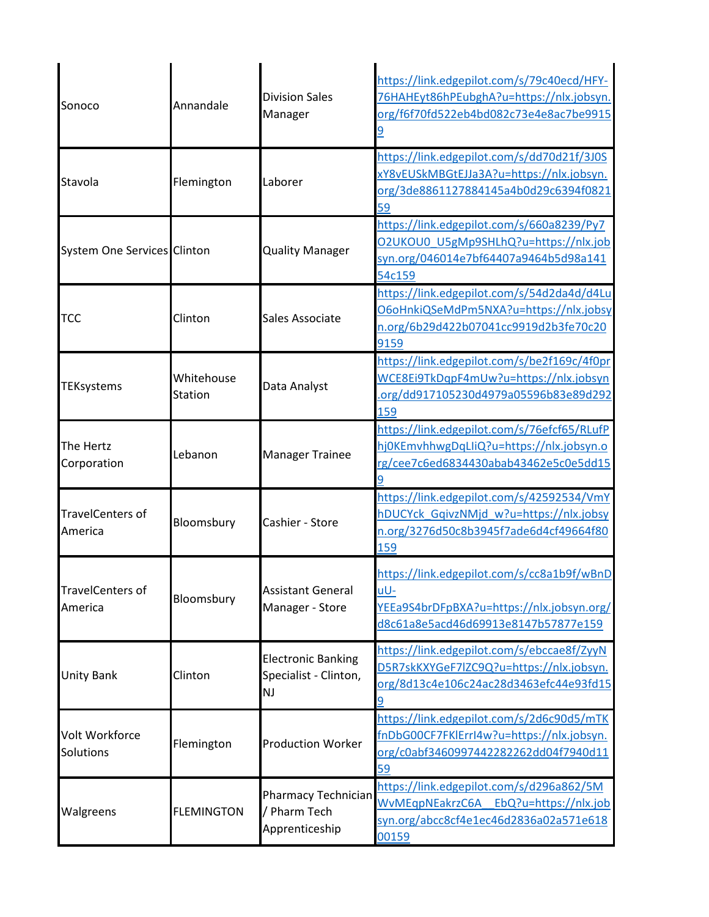| Sonoco                             | Annandale                    | <b>Division Sales</b><br>Manager                                | https://link.edgepilot.com/s/79c40ecd/HFY-<br>76HAHEyt86hPEubghA?u=https://nlx.jobsyn.<br>org/f6f70fd522eb4bd082c73e4e8ac7be9915      |
|------------------------------------|------------------------------|-----------------------------------------------------------------|---------------------------------------------------------------------------------------------------------------------------------------|
| Stavola                            | Flemington                   | Laborer                                                         | https://link.edgepilot.com/s/dd70d21f/3J0S<br>xY8vEUSkMBGtEJJa3A?u=https://nlx.jobsyn.<br>org/3de8861127884145a4b0d29c6394f0821<br>59 |
| <b>System One Services Clinton</b> |                              | <b>Quality Manager</b>                                          | https://link.edgepilot.com/s/660a8239/Py7<br>O2UKOU0 U5gMp9SHLhQ?u=https://nlx.job<br>syn.org/046014e7bf64407a9464b5d98a141<br>54c159 |
| <b>TCC</b>                         | Clinton                      | Sales Associate                                                 | https://link.edgepilot.com/s/54d2da4d/d4Lu<br>O6oHnkiQSeMdPm5NXA?u=https://nlx.jobsy<br>n.org/6b29d422b07041cc9919d2b3fe70c20<br>9159 |
| <b>TEKsystems</b>                  | Whitehouse<br><b>Station</b> | Data Analyst                                                    | https://link.edgepilot.com/s/be2f169c/4f0pr<br>WCE8Ei9TkDqpF4mUw?u=https://nlx.jobsyn<br>.org/dd917105230d4979a05596b83e89d292<br>159 |
| The Hertz<br>Corporation           | Lebanon                      | <b>Manager Trainee</b>                                          | https://link.edgepilot.com/s/76efcf65/RLufP<br>hj0KEmvhhwgDqLliQ?u=https://nlx.jobsyn.o<br>rg/cee7c6ed6834430abab43462e5c0e5dd15      |
| <b>TravelCenters of</b><br>America | Bloomsbury                   | Cashier - Store                                                 | https://link.edgepilot.com/s/42592534/VmY<br>hDUCYck_GqivzNMjd_w?u=https://nlx.jobsy<br>n.org/3276d50c8b3945f7ade6d4cf49664f80<br>159 |
| <b>TravelCenters of</b><br>America | Bloomsbury                   | <b>Assistant General</b><br>Manager - Store                     | https://link.edgepilot.com/s/cc8a1b9f/wBnD<br>uU-<br>YEEa9S4brDFpBXA?u=https://nlx.jobsyn.org/<br>d8c61a8e5acd46d69913e8147b57877e159 |
| Unity Bank                         | Clinton                      | <b>Electronic Banking</b><br>Specialist - Clinton,<br><b>NJ</b> | https://link.edgepilot.com/s/ebccae8f/ZyyN<br>D5R7skKXYGeF7lZC9Q?u=https://nlx.jobsyn.<br>org/8d13c4e106c24ac28d3463efc44e93fd15      |
| Volt Workforce<br>Solutions        | Flemington                   | <b>Production Worker</b>                                        | https://link.edgepilot.com/s/2d6c90d5/mTK<br>fnDbG00CF7FKlErrI4w?u=https://nlx.jobsyn.<br>org/c0abf3460997442282262dd04f7940d11<br>59 |
| Walgreens                          | <b>FLEMINGTON</b>            | Pharmacy Technician<br>/ Pharm Tech<br>Apprenticeship           | https://link.edgepilot.com/s/d296a862/5M<br>WvMEqpNEakrzC6A EbQ?u=https://nlx.job<br>syn.org/abcc8cf4e1ec46d2836a02a571e618<br>00159  |